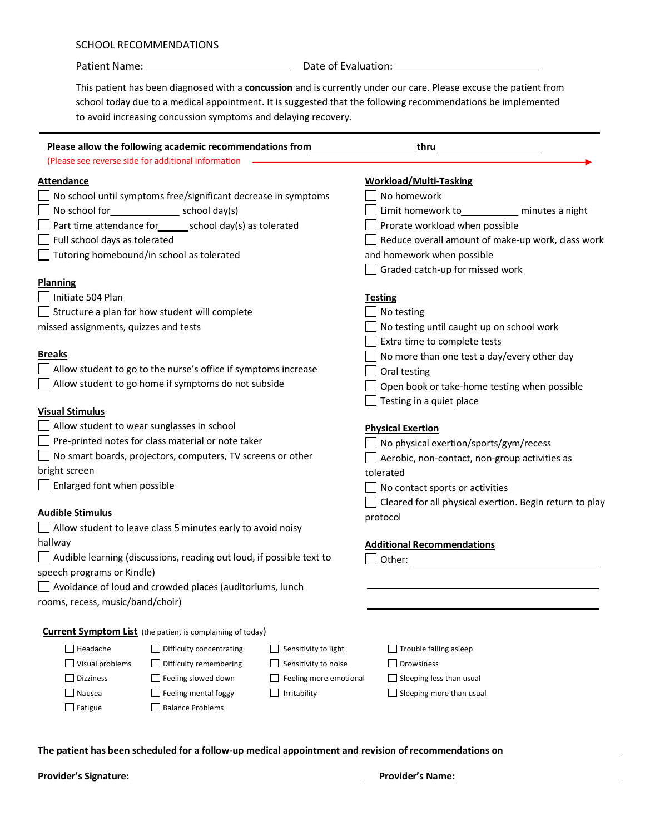## SCHOOL RECOMMENDATIONS

Patient Name: Date of Evaluation:

This patient has been diagnosed with a **concussion** and is currently under our care. Please excuse the patient from school today due to a medical appointment. It is suggested that the following recommendations be implemented to avoid increasing concussion symptoms and delaying recovery.

| Please allow the following academic recommendations from                     |                                                                    |                                              | thru                                                    |                 |
|------------------------------------------------------------------------------|--------------------------------------------------------------------|----------------------------------------------|---------------------------------------------------------|-----------------|
|                                                                              | (Please see reverse side for additional information                |                                              |                                                         |                 |
| <b>Attendance</b>                                                            |                                                                    |                                              | <b>Workload/Multi-Tasking</b>                           |                 |
| No school until symptoms free/significant decrease in symptoms               |                                                                    |                                              | No homework                                             |                 |
| No school for<br>school day(s)                                               |                                                                    |                                              | Limit homework to_                                      | minutes a night |
| Part time attendance for_______ school day(s) as tolerated                   |                                                                    |                                              | Prorate workload when possible                          |                 |
| Full school days as tolerated                                                |                                                                    |                                              | Reduce overall amount of make-up work, class work       |                 |
| Tutoring homebound/in school as tolerated                                    |                                                                    |                                              | and homework when possible                              |                 |
|                                                                              |                                                                    |                                              | Graded catch-up for missed work                         |                 |
| <b>Planning</b>                                                              |                                                                    |                                              |                                                         |                 |
| Initiate 504 Plan                                                            |                                                                    |                                              | <b>Testing</b>                                          |                 |
| Structure a plan for how student will complete                               |                                                                    |                                              | No testing                                              |                 |
| missed assignments, quizzes and tests                                        |                                                                    |                                              | No testing until caught up on school work               |                 |
|                                                                              |                                                                    |                                              | Extra time to complete tests                            |                 |
| <b>Breaks</b>                                                                |                                                                    |                                              | No more than one test a day/every other day             |                 |
| Allow student to go to the nurse's office if symptoms increase               |                                                                    |                                              | Oral testing                                            |                 |
| Allow student to go home if symptoms do not subside                          |                                                                    |                                              | Open book or take-home testing when possible            |                 |
|                                                                              |                                                                    |                                              | Testing in a quiet place                                |                 |
| <b>Visual Stimulus</b>                                                       |                                                                    |                                              |                                                         |                 |
| Allow student to wear sunglasses in school                                   |                                                                    |                                              | <b>Physical Exertion</b>                                |                 |
| Pre-printed notes for class material or note taker                           |                                                                    |                                              | No physical exertion/sports/gym/recess                  |                 |
| No smart boards, projectors, computers, TV screens or other<br>bright screen |                                                                    |                                              | Aerobic, non-contact, non-group activities as           |                 |
| $\Box$ Enlarged font when possible                                           |                                                                    |                                              | tolerated                                               |                 |
|                                                                              |                                                                    |                                              | No contact sports or activities                         |                 |
| <b>Audible Stimulus</b>                                                      |                                                                    |                                              | Cleared for all physical exertion. Begin return to play |                 |
|                                                                              | $\Box$ Allow student to leave class 5 minutes early to avoid noisy |                                              | protocol                                                |                 |
| hallway                                                                      |                                                                    |                                              | <b>Additional Recommendations</b>                       |                 |
| $\Box$ Audible learning (discussions, reading out loud, if possible text to  |                                                                    |                                              | Other:                                                  |                 |
| speech programs or Kindle)                                                   |                                                                    |                                              |                                                         |                 |
|                                                                              | Avoidance of loud and crowded places (auditoriums, lunch           |                                              |                                                         |                 |
| rooms, recess, music/band/choir)                                             |                                                                    |                                              |                                                         |                 |
|                                                                              | <b>Current Symptom List</b> (the patient is complaining of today)  |                                              |                                                         |                 |
| $\Box$ Headache                                                              |                                                                    |                                              |                                                         |                 |
| Visual problems                                                              | $\Box$ Difficulty concentrating<br>$\Box$ Difficulty remembering   | Sensitivity to light<br>Sensitivity to noise | $\Box$ Trouble falling asleep<br>$\Box$ Drowsiness      |                 |
| <b>Dizziness</b>                                                             | $\Box$ Feeling slowed down                                         | Feeling more emotional                       | $\Box$ Sleeping less than usual                         |                 |
| Nausea                                                                       | $\Box$ Feeling mental foggy                                        | Irritability                                 | $\Box$ Sleeping more than usual                         |                 |
| $\Box$ Fatigue                                                               | Balance Problems                                                   |                                              |                                                         |                 |
|                                                                              |                                                                    |                                              |                                                         |                 |
|                                                                              |                                                                    |                                              |                                                         |                 |

**The patient has been scheduled for a follow-up medical appointment and revision of recommendations on** 

**Provider's Signature: Provider's Name:**